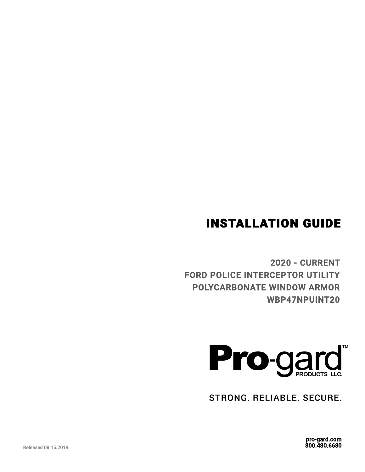## INSTALLATION GUIDE

2020 - CURRENT FORD POLICE INTERCEPTOR UTILITY POLYCARBONATE WINDOW ARMOR WBP47NPUINT20



STRONG. RELIABLE. SECURE.

pro-gard.com 800.480.6680